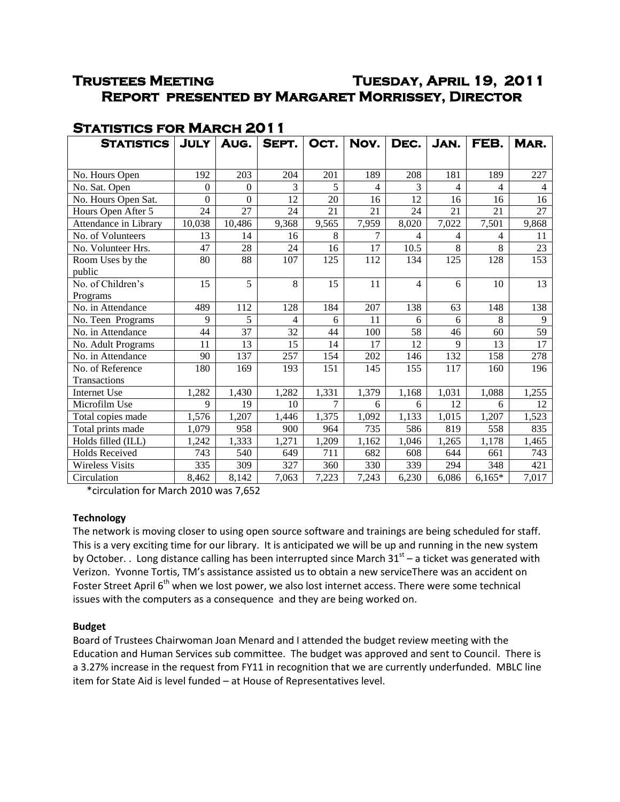# **Trustees Meeting Tuesday, April 19, 2011 Report presented by Margaret Morrissey, Director**

| <b>STATISTICS</b>          | <b>JULY</b> | AUG.            | SEPT.           | OCT.  | Nov.            | DEC.            | JAN.  | FEB.           | MAR.            |
|----------------------------|-------------|-----------------|-----------------|-------|-----------------|-----------------|-------|----------------|-----------------|
|                            |             |                 |                 |       |                 |                 |       |                |                 |
| No. Hours Open             | 192         | 203             | 204             | 201   | 189             | 208             | 181   | 189            | 227             |
| No. Sat. Open              | 0           | $\Omega$        | 3               | 5     | $\overline{4}$  | 3               | 4     | 4              | 4               |
| No. Hours Open Sat.        | $\theta$    | $\overline{0}$  | 12              | 20    | 16              | 12              | 16    | 16             | 16              |
| Hours Open After 5         | 24          | 27              | 24              | 21    | 21              | 24              | 21    | 21             | 27              |
| Attendance in Library      | 10,038      | 10,486          | 9,368           | 9,565 | 7,959           | 8,020           | 7,022 | 7,501          | 9,868           |
| No. of Volunteers          | 13          | 14              | 16              | 8     | $\tau$          | 4               | 4     | $\overline{4}$ | 11              |
| No. Volunteer Hrs.         | 47          | 28              | 24              | 16    | 17              | 10.5            | $8\,$ | 8              | 23              |
| Room Uses by the<br>public | 80          | 88              | 107             | 125   | 112             | 134             | 125   | 128            | 153             |
| No. of Children's          | 15          | 5               | 8               | 15    | 11              | 4               | 6     | 10             | 13              |
| Programs                   |             |                 |                 |       |                 |                 |       |                |                 |
| No. in Attendance          | 489         | 112             | 128             | 184   | 207             | 138             | 63    | 148            | 138             |
| No. Teen Programs          | 9           | 5               | 4               | 6     | 11              | 6               | 6     | 8              | 9               |
| No. in Attendance          | 44          | 37              | 32              | 44    | 100             | 58              | 46    | 60             | 59              |
| No. Adult Programs         | 11          | $\overline{13}$ | $\overline{15}$ | 14    | $\overline{17}$ | $\overline{12}$ | 9     | 13             | $\overline{17}$ |
| No. in Attendance          | 90          | 137             | 257             | 154   | 202             | 146             | 132   | 158            | 278             |
| No. of Reference           | 180         | 169             | 193             | 151   | 145             | 155             | 117   | 160            | 196             |
| Transactions               |             |                 |                 |       |                 |                 |       |                |                 |
| <b>Internet Use</b>        | 1,282       | 1,430           | 1,282           | 1,331 | 1,379           | 1,168           | 1,031 | 1,088          | 1,255           |
| Microfilm Use              | 9           | 19              | 10              | 7     | 6               | 6               | 12    | 6              | 12              |
| Total copies made          | 1,576       | 1,207           | 1,446           | 1,375 | 1,092           | 1,133           | 1,015 | 1,207          | 1,523           |
| Total prints made          | 1,079       | 958             | 900             | 964   | 735             | 586             | 819   | 558            | 835             |
| Holds filled (ILL)         | 1,242       | 1,333           | 1,271           | 1,209 | 1,162           | 1,046           | 1,265 | 1,178          | 1,465           |
| <b>Holds Received</b>      | 743         | 540             | 649             | 711   | 682             | 608             | 644   | 661            | 743             |
| <b>Wireless Visits</b>     | 335         | 309             | 327             | 360   | 330             | 339             | 294   | 348            | 421             |
| Circulation                | 8,462       | 8,142           | 7,063           | 7,223 | 7,243           | 6,230           | 6,086 | $6,165*$       | 7,017           |

## **Statistics for March 2011**

\*circulation for March 2010 was 7,652

## **Technology**

The network is moving closer to using open source software and trainings are being scheduled for staff. This is a very exciting time for our library. It is anticipated we will be up and running in the new system by October. . Long distance calling has been interrupted since March 31<sup>st</sup> – a ticket was generated with Verizon. Yvonne Tortis, TM's assistance assisted us to obtain a new serviceThere was an accident on Foster Street April 6<sup>th</sup> when we lost power, we also lost internet access. There were some technical issues with the computers as a consequence and they are being worked on.

## **Budget**

Board of Trustees Chairwoman Joan Menard and I attended the budget review meeting with the Education and Human Services sub committee. The budget was approved and sent to Council. There is a 3.27% increase in the request from FY11 in recognition that we are currently underfunded. MBLC line item for State Aid is level funded – at House of Representatives level.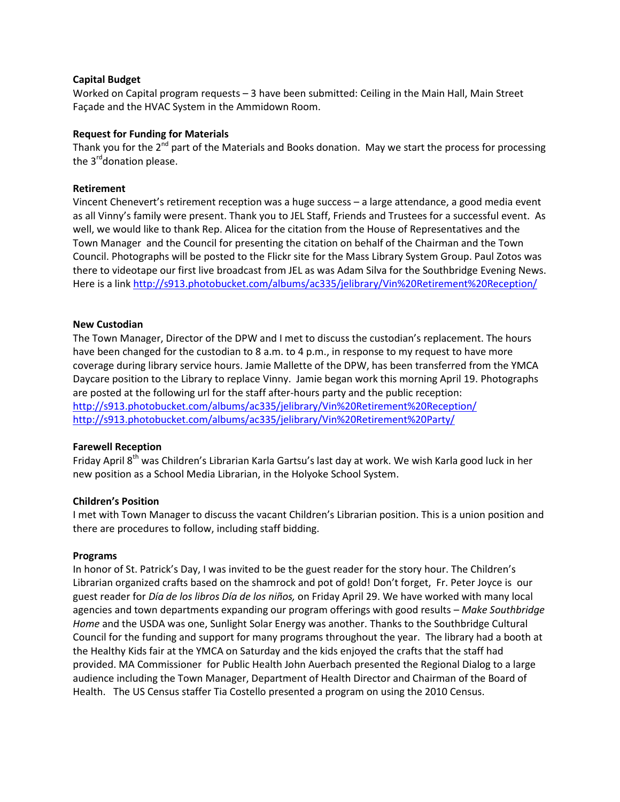## **Capital Budget**

Worked on Capital program requests – 3 have been submitted: Ceiling in the Main Hall, Main Street Façade and the HVAC System in the Ammidown Room.

#### **Request for Funding for Materials**

Thank you for the  $2^{nd}$  part of the Materials and Books donation. May we start the process for processing the  $3^{\text{rd}}$ donation please.

#### **Retirement**

Vincent Chenevert's retirement reception was a huge success – a large attendance, a good media event as all Vinny's family were present. Thank you to JEL Staff, Friends and Trustees for a successful event. As well, we would like to thank Rep. Alicea for the citation from the House of Representatives and the Town Manager and the Council for presenting the citation on behalf of the Chairman and the Town Council. Photographs will be posted to the Flickr site for the Mass Library System Group. Paul Zotos was there to videotape our first live broadcast from JEL as was Adam Silva for the Southbridge Evening News. Here is a lin[k http://s913.photobucket.com/albums/ac335/jelibrary/Vin%20Retirement%20Reception/](http://s913.photobucket.com/albums/ac335/jelibrary/Vin%20Retirement%20Reception/)

#### **New Custodian**

The Town Manager, Director of the DPW and I met to discuss the custodian's replacement. The hours have been changed for the custodian to 8 a.m. to 4 p.m., in response to my request to have more coverage during library service hours. Jamie Mallette of the DPW, has been transferred from the YMCA Daycare position to the Library to replace Vinny. Jamie began work this morning April 19. Photographs are posted at the following url for the staff after-hours party and the public reception: <http://s913.photobucket.com/albums/ac335/jelibrary/Vin%20Retirement%20Reception/> <http://s913.photobucket.com/albums/ac335/jelibrary/Vin%20Retirement%20Party/>

#### **Farewell Reception**

Friday April 8<sup>th</sup> was Children's Librarian Karla Gartsu's last day at work. We wish Karla good luck in her new position as a School Media Librarian, in the Holyoke School System.

#### **Children's Position**

I met with Town Manager to discuss the vacant Children's Librarian position. This is a union position and there are procedures to follow, including staff bidding.

#### **Programs**

In honor of St. Patrick's Day, I was invited to be the guest reader for the story hour. The Children's Librarian organized crafts based on the shamrock and pot of gold! Don't forget, Fr. Peter Joyce is our guest reader for *Día de los libros Día de los niños,* on Friday April 29. We have worked with many local agencies and town departments expanding our program offerings with good results – *Make Southbridge Home* and the USDA was one, Sunlight Solar Energy was another. Thanks to the Southbridge Cultural Council for the funding and support for many programs throughout the year. The library had a booth at the Healthy Kids fair at the YMCA on Saturday and the kids enjoyed the crafts that the staff had provided. MA Commissioner for Public Health John Auerbach presented the Regional Dialog to a large audience including the Town Manager, Department of Health Director and Chairman of the Board of Health. The US Census staffer Tia Costello presented a program on using the 2010 Census.